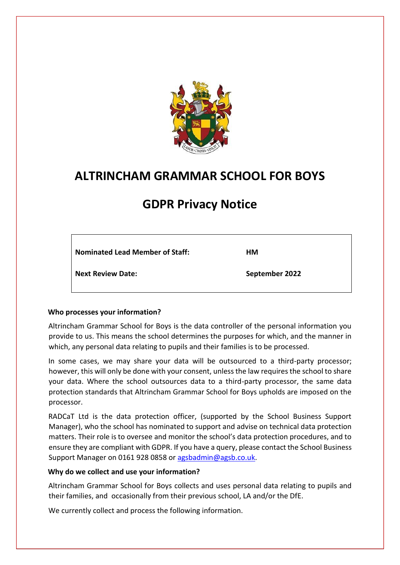

# **ALTRINCHAM GRAMMAR SCHOOL FOR BOYS**

# **GDPR Privacy Notice**

**Nominated Lead Member of Staff:** 

**HM** 

**Next Review Date:** 

**September 2022**

## **Who processes your information?**

Altrincham Grammar School for Boys is the data controller of the personal information you provide to us. This means the school determines the purposes for which, and the manner in which, any personal data relating to pupils and their families is to be processed.

In some cases, we may share your data will be outsourced to a third-party processor; however, this will only be done with your consent, unless the law requires the school to share your data. Where the school outsources data to a third-party processor, the same data protection standards that Altrincham Grammar School for Boys upholds are imposed on the processor.

RADCaT Ltd is the data protection officer, (supported by the School Business Support Manager), who the school has nominated to support and advise on technical data protection matters. Their role is to oversee and monitor the school's data protection procedures, and to ensure they are compliant with GDPR. If you have a query, please contact the School Business Support Manager on 0161 928 0858 or agsbadmin@agsb.co.uk.

#### **Why do we collect and use your information?**

Altrincham Grammar School for Boys collects and uses personal data relating to pupils and their families, and occasionally from their previous school, LA and/or the DfE.

We currently collect and process the following information.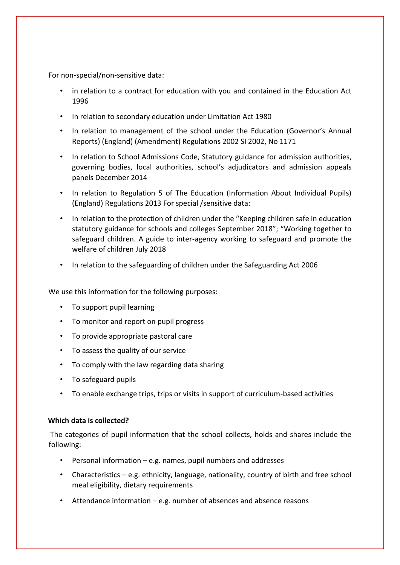For non-special/non-sensitive data:

- in relation to a contract for education with you and contained in the Education Act 1996
- In relation to secondary education under Limitation Act 1980
- In relation to management of the school under the Education (Governor's Annual Reports) (England) (Amendment) Regulations 2002 SI 2002, No 1171
- In relation to School Admissions Code, Statutory guidance for admission authorities, governing bodies, local authorities, school's adjudicators and admission appeals panels December 2014
- In relation to Regulation 5 of The Education (Information About Individual Pupils) (England) Regulations 2013 For special /sensitive data:
- In relation to the protection of children under the "Keeping children safe in education statutory guidance for schools and colleges September 2018"; "Working together to safeguard children. A guide to inter-agency working to safeguard and promote the welfare of children July 2018
- In relation to the safeguarding of children under the Safeguarding Act 2006

We use this information for the following purposes:

- To support pupil learning
- To monitor and report on pupil progress
- To provide appropriate pastoral care
- To assess the quality of our service
- To comply with the law regarding data sharing
- To safeguard pupils
- To enable exchange trips, trips or visits in support of curriculum-based activities

#### **Which data is collected?**

The categories of pupil information that the school collects, holds and shares include the following:

- Personal information e.g. names, pupil numbers and addresses
- Characteristics e.g. ethnicity, language, nationality, country of birth and free school meal eligibility, dietary requirements
- Attendance information e.g. number of absences and absence reasons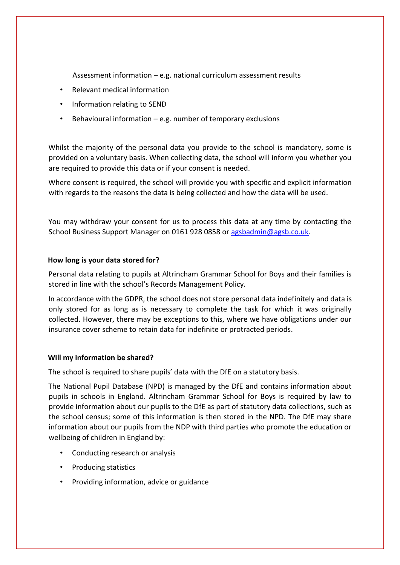Assessment information – e.g. national curriculum assessment results

- Relevant medical information
- Information relating to SEND
- Behavioural information e.g. number of temporary exclusions

Whilst the majority of the personal data you provide to the school is mandatory, some is provided on a voluntary basis. When collecting data, the school will inform you whether you are required to provide this data or if your consent is needed.

Where consent is required, the school will provide you with specific and explicit information with regards to the reasons the data is being collected and how the data will be used.

You may withdraw your consent for us to process this data at any time by contacting the School Business Support Manager on 0161 928 0858 or agsbadmin@agsb.co.uk.

#### **How long is your data stored for?**

Personal data relating to pupils at Altrincham Grammar School for Boys and their families is stored in line with the school's Records Management Policy.

In accordance with the GDPR, the school does not store personal data indefinitely and data is only stored for as long as is necessary to complete the task for which it was originally collected. However, there may be exceptions to this, where we have obligations under our insurance cover scheme to retain data for indefinite or protracted periods.

#### **Will my information be shared?**

The school is required to share pupils' data with the DfE on a statutory basis.

The National Pupil Database (NPD) is managed by the DfE and contains information about pupils in schools in England. Altrincham Grammar School for Boys is required by law to provide information about our pupils to the DfE as part of statutory data collections, such as the school census; some of this information is then stored in the NPD. The DfE may share information about our pupils from the NDP with third parties who promote the education or wellbeing of children in England by:

- Conducting research or analysis
- Producing statistics
- Providing information, advice or guidance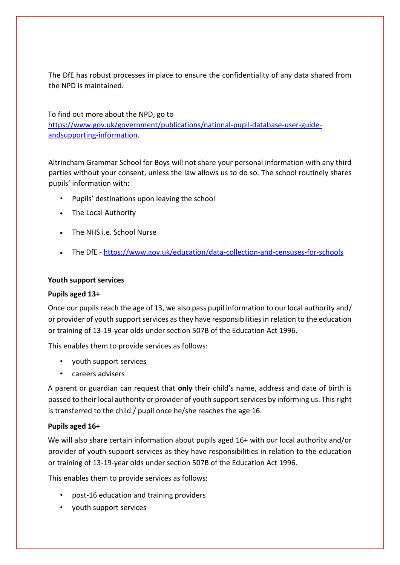The DfE has robust processes in place to ensure the confidentiality of any data shared from the NPD is maintained.

To find out more about the NPD, go to [https://www.gov.uk/government/publications/national-pupil-database-user-guide](https://www.gov.uk/government/publications/national-pupil-database-user-guide-and-supporting-information)[andsupporting-information.](https://www.gov.uk/government/publications/national-pupil-database-user-guide-and-supporting-information)

Altrincham Grammar School for Boys will not share your personal information with any third parties without your consent, unless the law allows us to do so. The school routinely shares pupils' information with:

- Pupils' destinations upon leaving the school
- The Local Authority
- The NHS i.e. School Nurse
- The DfE [-](https://www.gov.uk/education/data-collection-and-censuses-for-schools) <https://www.gov.uk/education/data-collection-and-censuses-for-schools>

### **Youth support services**

#### **Pupils aged 13+**

Once our pupils reach the age of 13, we also pass pupil information to our local authority and/ or provider of youth support services as they have responsibilities in relation to the education or training of 13-19-year olds under section 507B of the Education Act 1996.

This enables them to provide services as follows:

- youth support services
- careers advisers

A parent or guardian can request that **only** their child's name, address and date of birth is passed to their local authority or provider of youth support services by informing us. This right is transferred to the child / pupil once he/she reaches the age 16.

## **Pupils aged 16+**

We will also share certain information about pupils aged 16+ with our local authority and/or provider of youth support services as they have responsibilities in relation to the education or training of 13-19-year olds under section 507B of the Education Act 1996.

This enables them to provide services as follows:

- post-16 education and training providers
- youth support services